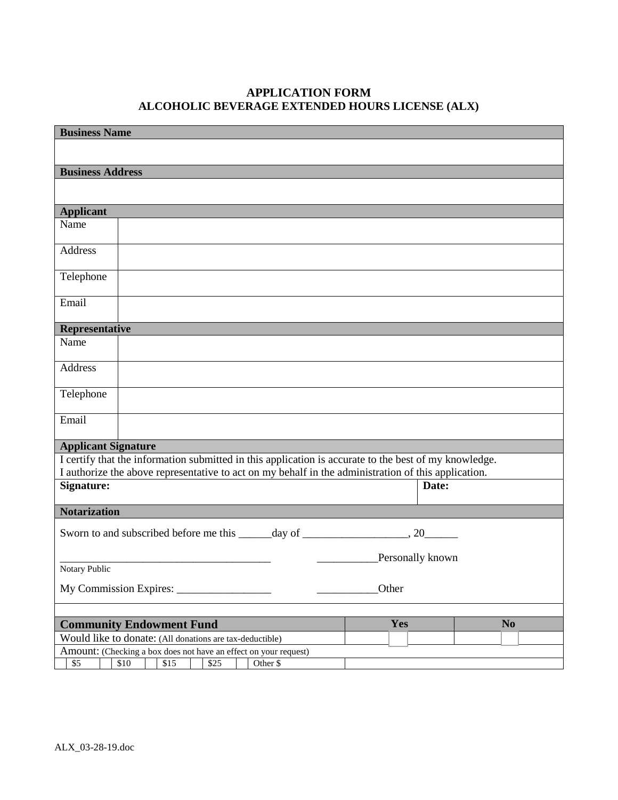## **APPLICATION FORM ALCOHOLIC BEVERAGE EXTENDED HOURS LICENSE (ALX)**

| <b>Business Name</b>                                                                                        |                                                                                                       |  |  |  |                  |                |
|-------------------------------------------------------------------------------------------------------------|-------------------------------------------------------------------------------------------------------|--|--|--|------------------|----------------|
|                                                                                                             |                                                                                                       |  |  |  |                  |                |
|                                                                                                             |                                                                                                       |  |  |  |                  |                |
| <b>Business Address</b>                                                                                     |                                                                                                       |  |  |  |                  |                |
|                                                                                                             |                                                                                                       |  |  |  |                  |                |
| <b>Applicant</b>                                                                                            |                                                                                                       |  |  |  |                  |                |
| Name                                                                                                        |                                                                                                       |  |  |  |                  |                |
| Address                                                                                                     |                                                                                                       |  |  |  |                  |                |
| Telephone                                                                                                   |                                                                                                       |  |  |  |                  |                |
| Email                                                                                                       |                                                                                                       |  |  |  |                  |                |
| Representative                                                                                              |                                                                                                       |  |  |  |                  |                |
| Name                                                                                                        |                                                                                                       |  |  |  |                  |                |
| Address                                                                                                     |                                                                                                       |  |  |  |                  |                |
| Telephone                                                                                                   |                                                                                                       |  |  |  |                  |                |
| Email                                                                                                       |                                                                                                       |  |  |  |                  |                |
| <b>Applicant Signature</b>                                                                                  |                                                                                                       |  |  |  |                  |                |
|                                                                                                             | I certify that the information submitted in this application is accurate to the best of my knowledge. |  |  |  |                  |                |
|                                                                                                             | I authorize the above representative to act on my behalf in the administration of this application.   |  |  |  |                  |                |
| Signature:                                                                                                  |                                                                                                       |  |  |  | Date:            |                |
| <b>Notarization</b>                                                                                         |                                                                                                       |  |  |  |                  |                |
|                                                                                                             |                                                                                                       |  |  |  |                  |                |
|                                                                                                             |                                                                                                       |  |  |  | Personally known |                |
| Notary Public                                                                                               |                                                                                                       |  |  |  |                  |                |
| Other                                                                                                       |                                                                                                       |  |  |  |                  |                |
|                                                                                                             |                                                                                                       |  |  |  |                  |                |
| <b>Community Endowment Fund</b><br>Yes                                                                      |                                                                                                       |  |  |  |                  | N <sub>0</sub> |
| Would like to donate: (All donations are tax-deductible)                                                    |                                                                                                       |  |  |  |                  |                |
| Amount: (Checking a box does not have an effect on your request)<br>\$10<br>Other \$<br>\$5<br>\$15<br>\$25 |                                                                                                       |  |  |  |                  |                |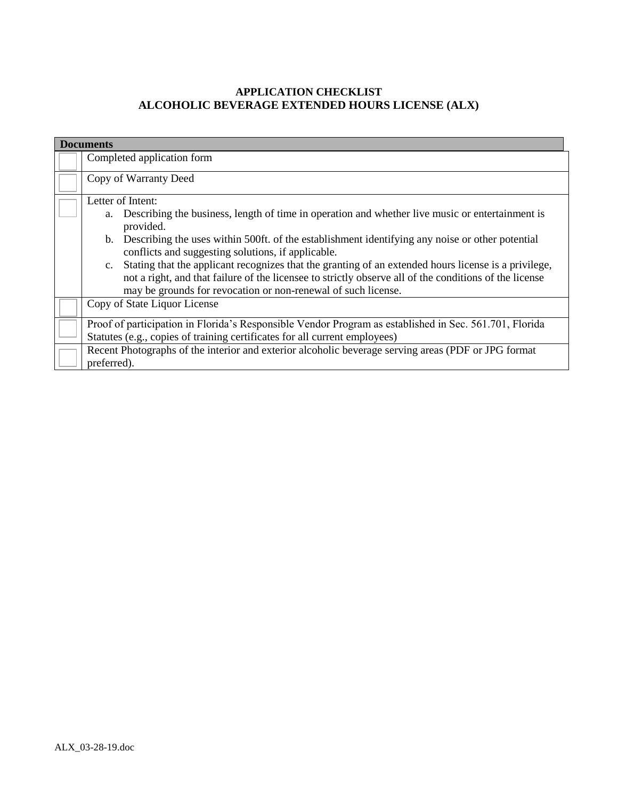## **APPLICATION CHECKLIST ALCOHOLIC BEVERAGE EXTENDED HOURS LICENSE (ALX)**

| <b>Documents</b> |                                                                                                                                                                                                                                                                                                                                                                                                                                                                                                                                                                                           |  |  |
|------------------|-------------------------------------------------------------------------------------------------------------------------------------------------------------------------------------------------------------------------------------------------------------------------------------------------------------------------------------------------------------------------------------------------------------------------------------------------------------------------------------------------------------------------------------------------------------------------------------------|--|--|
|                  | Completed application form                                                                                                                                                                                                                                                                                                                                                                                                                                                                                                                                                                |  |  |
|                  | Copy of Warranty Deed                                                                                                                                                                                                                                                                                                                                                                                                                                                                                                                                                                     |  |  |
|                  | Letter of Intent:<br>a. Describing the business, length of time in operation and whether live music or entertainment is<br>provided.<br>b. Describing the uses within 500ft. of the establishment identifying any noise or other potential<br>conflicts and suggesting solutions, if applicable.<br>Stating that the applicant recognizes that the granting of an extended hours license is a privilege,<br>c.<br>not a right, and that failure of the licensee to strictly observe all of the conditions of the license<br>may be grounds for revocation or non-renewal of such license. |  |  |
|                  | Copy of State Liquor License                                                                                                                                                                                                                                                                                                                                                                                                                                                                                                                                                              |  |  |
|                  | Proof of participation in Florida's Responsible Vendor Program as established in Sec. 561.701, Florida<br>Statutes (e.g., copies of training certificates for all current employees)                                                                                                                                                                                                                                                                                                                                                                                                      |  |  |
|                  | Recent Photographs of the interior and exterior alcoholic beverage serving areas (PDF or JPG format<br>preferred).                                                                                                                                                                                                                                                                                                                                                                                                                                                                        |  |  |